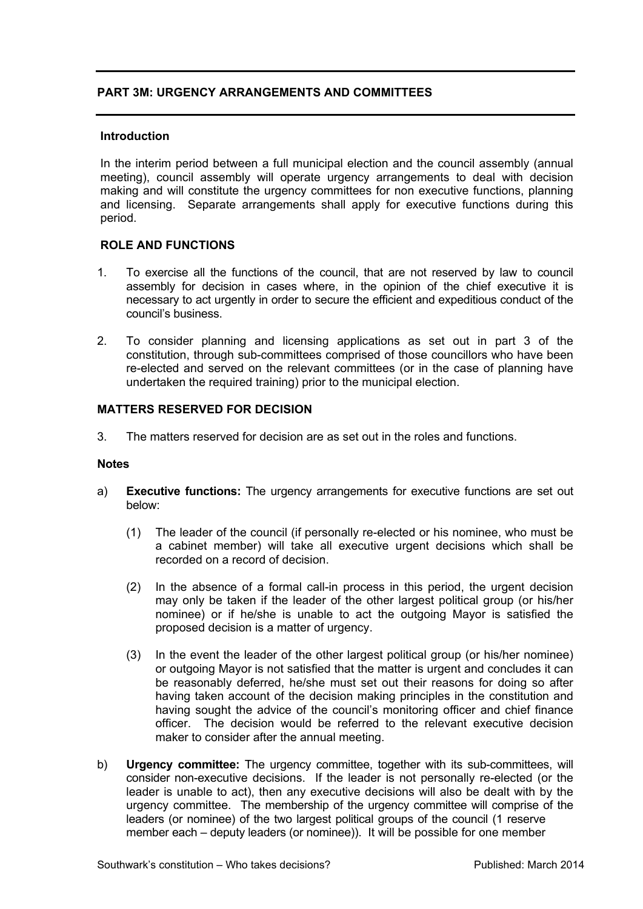# **PART 3M: URGENCY ARRANGEMENTS AND COMMITTEES**

#### **Introduction**

In the interim period between a full municipal election and the council assembly (annual meeting), council assembly will operate urgency arrangements to deal with decision making and will constitute the urgency committees for non executive functions, planning and licensing. Separate arrangements shall apply for executive functions during this period.

# **ROLE AND FUNCTIONS**

- 1. To exercise all the functions of the council, that are not reserved by law to council assembly for decision in cases where, in the opinion of the chief executive it is necessary to act urgently in order to secure the efficient and expeditious conduct of the council's business.
- 2. To consider planning and licensing applications as set out in part 3 of the constitution, through sub-committees comprised of those councillors who have been re-elected and served on the relevant committees (or in the case of planning have undertaken the required training) prior to the municipal election.

### **MATTERS RESERVED FOR DECISION**

3. The matters reserved for decision are as set out in the roles and functions.

#### **Notes**

- a) **Executive functions:** The urgency arrangements for executive functions are set out below:
	- (1) The leader of the council (if personally re-elected or his nominee, who must be a cabinet member) will take all executive urgent decisions which shall be recorded on a record of decision.
	- (2) In the absence of a formal call-in process in this period, the urgent decision may only be taken if the leader of the other largest political group (or his/her nominee) or if he/she is unable to act the outgoing Mayor is satisfied the proposed decision is a matter of urgency.
	- (3) In the event the leader of the other largest political group (or his/her nominee) or outgoing Mayor is not satisfied that the matter is urgent and concludes it can be reasonably deferred, he/she must set out their reasons for doing so after having taken account of the decision making principles in the constitution and having sought the advice of the council's monitoring officer and chief finance officer. The decision would be referred to the relevant executive decision maker to consider after the annual meeting.
- b) **Urgency committee:** The urgency committee, together with its sub-committees, will consider non-executive decisions. If the leader is not personally re-elected (or the leader is unable to act), then any executive decisions will also be dealt with by the urgency committee. The membership of the urgency committee will comprise of the leaders (or nominee) of the two largest political groups of the council (1 reserve member each – deputy leaders (or nominee)). It will be possible for one member